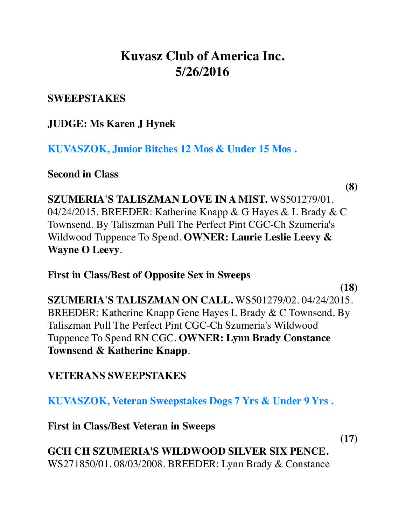# **Kuvasz Club of America Inc. 5/26/2016**

### **SWEEPSTAKES**

## **JUDGE: Ms Karen J Hynek**

**KUVASZOK, Junior Bitches 12 Mos & Under 15 Mos .**

**Second in Class**

**(8)**

**SZUMERIA'S TALISZMAN LOVE IN A MIST.** WS501279/01. 04/24/2015. BREEDER: Katherine Knapp & G Hayes & L Brady & C Townsend. By Taliszman Pull The Perfect Pint CGC-Ch Szumeria's Wildwood Tuppence To Spend. **OWNER: Laurie Leslie Leevy & Wayne O Leevy**.

**First in Class/Best of Opposite Sex in Sweeps**

**(18)**

**SZUMERIA'S TALISZMAN ON CALL.** WS501279/02. 04/24/2015. BREEDER: Katherine Knapp Gene Hayes L Brady & C Townsend. By Taliszman Pull The Perfect Pint CGC-Ch Szumeria's Wildwood Tuppence To Spend RN CGC. **OWNER: Lynn Brady Constance Townsend & Katherine Knapp**.

## **VETERANS SWEEPSTAKES**

**KUVASZOK, Veteran Sweepstakes Dogs 7 Yrs & Under 9 Yrs .**

**First in Class/Best Veteran in Sweeps**

**(17)**

**GCH CH SZUMERIA'S WILDWOOD SILVER SIX PENCE.** WS271850/01. 08/03/2008. BREEDER: Lynn Brady & Constance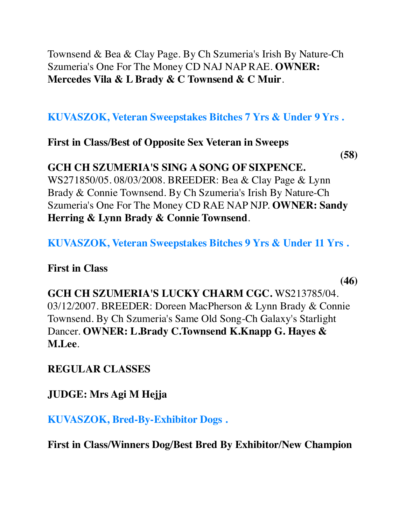Townsend & Bea & Clay Page. By Ch Szumeria's Irish By Nature-Ch Szumeria's One For The Money CD NAJ NAP RAE. **OWNER: Mercedes Vila & L Brady & C Townsend & C Muir**.

**KUVASZOK, Veteran Sweepstakes Bitches 7 Yrs & Under 9 Yrs .**

**First in Class/Best of Opposite Sex Veteran in Sweeps**

**(58)**

### **GCH CH SZUMERIA'S SING A SONG OF SIXPENCE.**

WS271850/05. 08/03/2008. BREEDER: Bea & Clay Page & Lynn Brady & Connie Townsend. By Ch Szumeria's Irish By Nature-Ch Szumeria's One For The Money CD RAE NAP NJP. **OWNER: Sandy Herring & Lynn Brady & Connie Townsend**.

**KUVASZOK, Veteran Sweepstakes Bitches 9 Yrs & Under 11 Yrs .**

**First in Class**

**(46)**

**GCH CH SZUMERIA'S LUCKY CHARM CGC.** WS213785/04. 03/12/2007. BREEDER: Doreen MacPherson & Lynn Brady & Connie Townsend. By Ch Szumeria's Same Old Song-Ch Galaxy's Starlight Dancer. **OWNER: L.Brady C.Townsend K.Knapp G. Hayes & M.Lee**.

**REGULAR CLASSES**

**JUDGE: Mrs Agi M Hejja**

**KUVASZOK, Bred-By-Exhibitor Dogs .**

**First in Class/Winners Dog/Best Bred By Exhibitor/New Champion**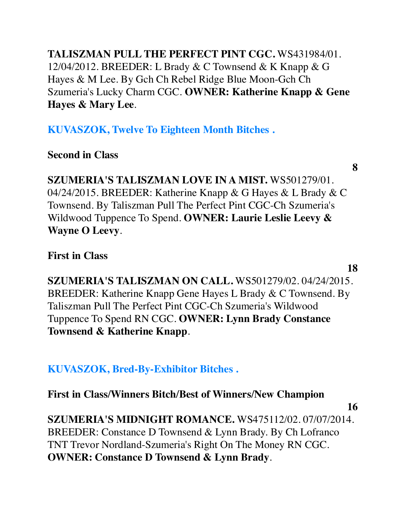**TALISZMAN PULL THE PERFECT PINT CGC.** WS431984/01. 12/04/2012. BREEDER: L Brady & C Townsend & K Knapp & G Hayes & M Lee. By Gch Ch Rebel Ridge Blue Moon-Gch Ch Szumeria's Lucky Charm CGC. **OWNER: Katherine Knapp & Gene Hayes & Mary Lee**.

**KUVASZOK, Twelve To Eighteen Month Bitches .**

**Second in Class**

**8**

**SZUMERIA'S TALISZMAN LOVE IN A MIST.** WS501279/01. 04/24/2015. BREEDER: Katherine Knapp & G Hayes & L Brady & C Townsend. By Taliszman Pull The Perfect Pint CGC-Ch Szumeria's Wildwood Tuppence To Spend. **OWNER: Laurie Leslie Leevy & Wayne O Leevy**.

**First in Class**

**18**

**SZUMERIA'S TALISZMAN ON CALL.** WS501279/02. 04/24/2015. BREEDER: Katherine Knapp Gene Hayes L Brady & C Townsend. By Taliszman Pull The Perfect Pint CGC-Ch Szumeria's Wildwood Tuppence To Spend RN CGC. **OWNER: Lynn Brady Constance Townsend & Katherine Knapp**.

**KUVASZOK, Bred-By-Exhibitor Bitches .**

**First in Class/Winners Bitch/Best of Winners/New Champion**

**16**

**SZUMERIA'S MIDNIGHT ROMANCE.** WS475112/02. 07/07/2014. BREEDER: Constance D Townsend & Lynn Brady. By Ch Lofranco TNT Trevor Nordland-Szumeria's Right On The Money RN CGC. **OWNER: Constance D Townsend & Lynn Brady**.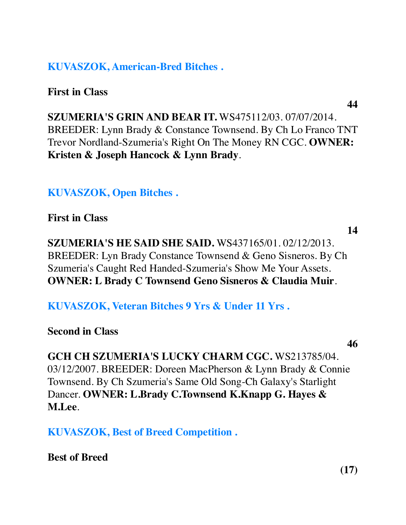### **KUVASZOK, American-Bred Bitches .**

**First in Class**

**44**

**SZUMERIA'S GRIN AND BEAR IT.** WS475112/03. 07/07/2014. BREEDER: Lynn Brady & Constance Townsend. By Ch Lo Franco TNT Trevor Nordland-Szumeria's Right On The Money RN CGC. **OWNER: Kristen & Joseph Hancock & Lynn Brady**.

**KUVASZOK, Open Bitches .**

**First in Class**

**SZUMERIA'S HE SAID SHE SAID.** WS437165/01. 02/12/2013. BREEDER: Lyn Brady Constance Townsend & Geno Sisneros. By Ch Szumeria's Caught Red Handed-Szumeria's Show Me Your Assets. **OWNER: L Brady C Townsend Geno Sisneros & Claudia Muir**.

**KUVASZOK, Veteran Bitches 9 Yrs & Under 11 Yrs .**

**Second in Class**

**46**

**14**

**GCH CH SZUMERIA'S LUCKY CHARM CGC.** WS213785/04. 03/12/2007. BREEDER: Doreen MacPherson & Lynn Brady & Connie Townsend. By Ch Szumeria's Same Old Song-Ch Galaxy's Starlight Dancer. **OWNER: L.Brady C.Townsend K.Knapp G. Hayes & M.Lee**.

**KUVASZOK, Best of Breed Competition .**

**Best of Breed**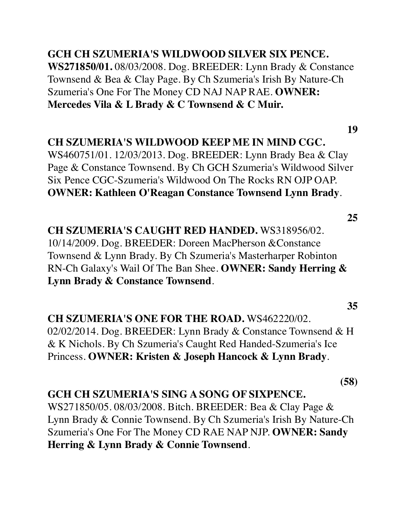## **GCH CH SZUMERIA'S WILDWOOD SILVER SIX PENCE.**

**WS271850/01.** 08/03/2008. Dog. BREEDER: Lynn Brady & Constance Townsend & Bea & Clay Page. By Ch Szumeria's Irish By Nature-Ch Szumeria's One For The Money CD NAJ NAP RAE. **OWNER: Mercedes Vila & L Brady & C Townsend & C Muir.**

#### **19**

#### **CH SZUMERIA'S WILDWOOD KEEP ME IN MIND CGC.**

WS460751/01. 12/03/2013. Dog. BREEDER: Lynn Brady Bea & Clay Page & Constance Townsend. By Ch GCH Szumeria's Wildwood Silver Six Pence CGC-Szumeria's Wildwood On The Rocks RN OJP OAP. **OWNER: Kathleen O'Reagan Constance Townsend Lynn Brady**.

**25**

**35**

## **CH SZUMERIA'S CAUGHT RED HANDED.** WS318956/02. 10/14/2009. Dog. BREEDER: Doreen MacPherson &Constance Townsend & Lynn Brady. By Ch Szumeria's Masterharper Robinton RN-Ch Galaxy's Wail Of The Ban Shee. **OWNER: Sandy Herring & Lynn Brady & Constance Townsend**.

#### **CH SZUMERIA'S ONE FOR THE ROAD.** WS462220/02.

02/02/2014. Dog. BREEDER: Lynn Brady & Constance Townsend & H & K Nichols. By Ch Szumeria's Caught Red Handed-Szumeria's Ice Princess. **OWNER: Kristen & Joseph Hancock & Lynn Brady**.

**(58)**

#### **GCH CH SZUMERIA'S SING A SONG OF SIXPENCE.**

WS271850/05. 08/03/2008. Bitch. BREEDER: Bea & Clay Page & Lynn Brady & Connie Townsend. By Ch Szumeria's Irish By Nature-Ch Szumeria's One For The Money CD RAE NAP NJP. **OWNER: Sandy Herring & Lynn Brady & Connie Townsend**.